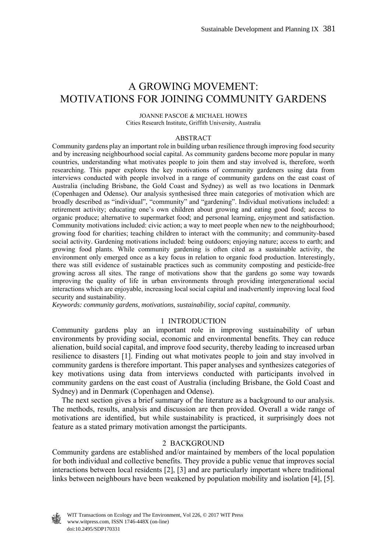# A GROWING MOVEMENT: MOTIVATIONS FOR JOINING COMMUNITY GARDENS

JOANNE PASCOE & MICHAEL HOWES Cities Research Institute, Griffith University, Australia

#### ABSTRACT

Community gardens play an important role in building urban resilience through improving food security and by increasing neighbourhood social capital. As community gardens become more popular in many countries, understanding what motivates people to join them and stay involved is, therefore, worth researching. This paper explores the key motivations of community gardeners using data from interviews conducted with people involved in a range of community gardens on the east coast of Australia (including Brisbane, the Gold Coast and Sydney) as well as two locations in Denmark (Copenhagen and Odense). Our analysis synthesised three main categories of motivation which are broadly described as "individual", "community" and "gardening". Individual motivations included: a retirement activity; educating one's own children about growing and eating good food; access to organic produce; alternative to supermarket food; and personal learning, enjoyment and satisfaction. Community motivations included: civic action; a way to meet people when new to the neighbourhood; growing food for charities; teaching children to interact with the community; and community-based social activity. Gardening motivations included: being outdoors; enjoying nature; access to earth; and growing food plants. While community gardening is often cited as a sustainable activity, the environment only emerged once as a key focus in relation to organic food production. Interestingly, there was still evidence of sustainable practices such as community composting and pesticide-free growing across all sites. The range of motivations show that the gardens go some way towards improving the quality of life in urban environments through providing intergenerational social interactions which are enjoyable, increasing local social capital and inadvertently improving local food security and sustainability.

*Keywords: community gardens, motivations, sustainability, social capital, community.* 

#### 1 INTRODUCTION

Community gardens play an important role in improving sustainability of urban environments by providing social, economic and environmental benefits. They can reduce alienation, build social capital, and improve food security, thereby leading to increased urban resilience to disasters [1]. Finding out what motivates people to join and stay involved in community gardens is therefore important. This paper analyses and synthesizes categories of key motivations using data from interviews conducted with participants involved in community gardens on the east coast of Australia (including Brisbane, the Gold Coast and Sydney) and in Denmark (Copenhagen and Odense).

 The next section gives a brief summary of the literature as a background to our analysis. The methods, results, analysis and discussion are then provided. Overall a wide range of motivations are identified, but while sustainability is practiced, it surprisingly does not feature as a stated primary motivation amongst the participants.

# 2 BACKGROUND

Community gardens are established and/or maintained by members of the local population for both individual and collective benefits. They provide a public venue that improves social interactions between local residents [2], [3] and are particularly important where traditional links between neighbours have been weakened by population mobility and isolation [4], [5].

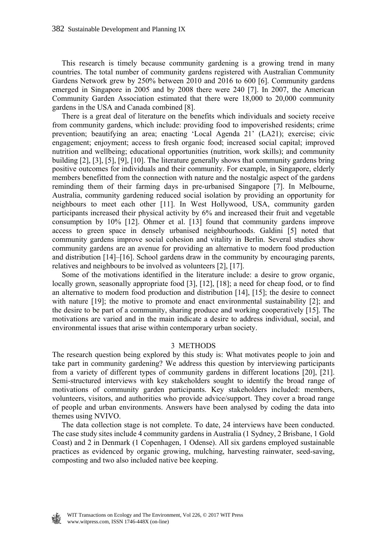This research is timely because community gardening is a growing trend in many countries. The total number of community gardens registered with Australian Community Gardens Network grew by 250% between 2010 and 2016 to 600 [6]. Community gardens emerged in Singapore in 2005 and by 2008 there were 240 [7]. In 2007, the American Community Garden Association estimated that there were 18,000 to 20,000 community gardens in the USA and Canada combined [8].

 There is a great deal of literature on the benefits which individuals and society receive from community gardens, which include: providing food to impoverished residents; crime prevention; beautifying an area; enacting 'Local Agenda 21' (LA21); exercise; civic engagement; enjoyment; access to fresh organic food; increased social capital; improved nutrition and wellbeing; educational opportunities (nutrition, work skills); and community building [2], [3], [5], [9], [10]. The literature generally shows that community gardens bring positive outcomes for individuals and their community. For example, in Singapore, elderly members benefitted from the connection with nature and the nostalgic aspect of the gardens reminding them of their farming days in pre-urbanised Singapore [7]. In Melbourne, Australia, community gardening reduced social isolation by providing an opportunity for neighbours to meet each other [11]. In West Hollywood, USA, community garden participants increased their physical activity by 6% and increased their fruit and vegetable consumption by 10% [12]. Ohmer et al. [13] found that community gardens improve access to green space in densely urbanised neighbourhoods. Galdini [5] noted that community gardens improve social cohesion and vitality in Berlin. Several studies show community gardens are an avenue for providing an alternative to modern food production and distribution [14]–[16]. School gardens draw in the community by encouraging parents, relatives and neighbours to be involved as volunteers [2], [17].

 Some of the motivations identified in the literature include: a desire to grow organic, locally grown, seasonally appropriate food [3], [12], [18]; a need for cheap food, or to find an alternative to modern food production and distribution [14], [15]; the desire to connect with nature [19]; the motive to promote and enact environmental sustainability [2]; and the desire to be part of a community, sharing produce and working cooperatively [15]. The motivations are varied and in the main indicate a desire to address individual, social, and environmental issues that arise within contemporary urban society.

#### 3 METHODS

The research question being explored by this study is: What motivates people to join and take part in community gardening? We address this question by interviewing participants from a variety of different types of community gardens in different locations [20], [21]. Semi-structured interviews with key stakeholders sought to identify the broad range of motivations of community garden participants. Key stakeholders included: members, volunteers, visitors, and authorities who provide advice/support. They cover a broad range of people and urban environments. Answers have been analysed by coding the data into themes using NVIVO.

 The data collection stage is not complete. To date, 24 interviews have been conducted. The case study sites include 4 community gardens in Australia (1 Sydney, 2 Brisbane, 1 Gold Coast) and 2 in Denmark (1 Copenhagen, 1 Odense). All six gardens employed sustainable practices as evidenced by organic growing, mulching, harvesting rainwater, seed-saving, composting and two also included native bee keeping.

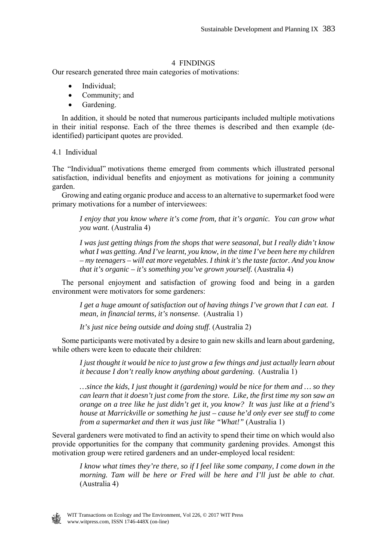# 4 FINDINGS

Our research generated three main categories of motivations:

- Individual;
- Community; and
- Gardening.

 In addition, it should be noted that numerous participants included multiple motivations in their initial response. Each of the three themes is described and then example (deidentified) participant quotes are provided.

# 4.1 Individual

The "Individual" motivations theme emerged from comments which illustrated personal satisfaction, individual benefits and enjoyment as motivations for joining a community garden.

 Growing and eating organic produce and access to an alternative to supermarket food were primary motivations for a number of interviewees:

*I enjoy that you know where it's come from, that it's organic. You can grow what you want.* (Australia 4)

*I was just getting things from the shops that were seasonal, but I really didn't know what I was getting. And I've learnt, you know, in the time I've been here my children – my teenagers – will eat more vegetables. I think it's the taste factor. And you know that it's organic – it's something you've grown yourself.* (Australia 4)

 The personal enjoyment and satisfaction of growing food and being in a garden environment were motivators for some gardeners:

*I get a huge amount of satisfaction out of having things I've grown that I can eat. I mean, in financial terms, it's nonsense*. (Australia 1)

*It's just nice being outside and doing stuff*. (Australia 2)

 Some participants were motivated by a desire to gain new skills and learn about gardening, while others were keen to educate their children:

*I just thought it would be nice to just grow a few things and just actually learn about it because I don't really know anything about gardening*. (Australia 1)

*…since the kids, I just thought it (gardening) would be nice for them and … so they can learn that it doesn't just come from the store. Like, the first time my son saw an orange on a tree like he just didn't get it, you know? It was just like at a friend's house at Marrickville or something he just – cause he'd only ever see stuff to come from a supermarket and then it was just like "What!"* (Australia 1)

Several gardeners were motivated to find an activity to spend their time on which would also provide opportunities for the company that community gardening provides. Amongst this motivation group were retired gardeners and an under-employed local resident:

*I know what times they're there, so if I feel like some company, I come down in the morning. Tam will be here or Fred will be here and I'll just be able to chat*. (Australia 4)

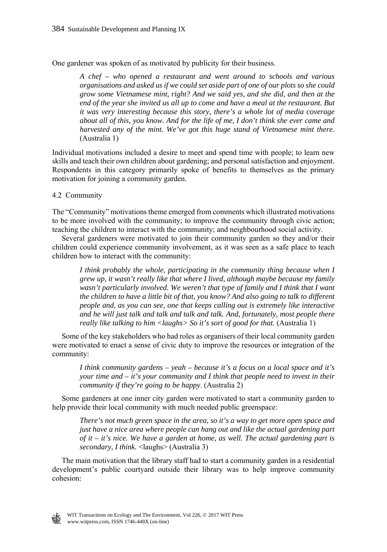One gardener was spoken of as motivated by publicity for their business.

*A chef – who opened a restaurant and went around to schools and various organisations and asked us if we could set aside part of one of our plots so she could grow some Vietnamese mint, right? And we said yes, and she did, and then at the end of the year she invited us all up to come and have a meal at the restaurant. But it was very interesting because this story, there's a whole lot of media coverage about all of this, you know. And for the life of me, I don't think she ever came and harvested any of the mint. We've got this huge stand of Vietnamese mint there*. (Australia 1)

Individual motivations included a desire to meet and spend time with people; to learn new skills and teach their own children about gardening; and personal satisfaction and enjoyment. Respondents in this category primarily spoke of benefits to themselves as the primary motivation for joining a community garden.

# 4.2 Community

The "Community" motivations theme emerged from comments which illustrated motivations to be more involved with the community; to improve the community through civic action; teaching the children to interact with the community; and neighbourhood social activity.

 Several gardeners were motivated to join their community garden so they and/or their children could experience community involvement, as it was seen as a safe place to teach children how to interact with the community:

*I think probably the whole, participating in the community thing because when I grew up, it wasn't really like that where I lived, although maybe because my family*  wasn't particularly involved. We weren't that type of family and I think that I want *the children to have a little bit of that, you know? And also going to talk to different people and, as you can see, one that keeps calling out is extremely like interactive and he will just talk and talk and talk and talk. And, fortunately, most people there really like talking to him <laughs> So it's sort of good for that.* (Australia 1)

 Some of the key stakeholders who had roles as organisers of their local community garden were motivated to enact a sense of civic duty to improve the resources or integration of the community:

*I think community gardens – yeah – because it's a focus on a local space and it's your time and – it's your community and I think that people need to invest in their community if they're going to be happy*. (Australia 2)

 Some gardeners at one inner city garden were motivated to start a community garden to help provide their local community with much needed public greenspace:

*There's not much green space in the area, so it's a way to get more open space and just have a nice area where people can hang out and like the actual gardening part of it – it's nice. We have a garden at home, as well. The actual gardening part is secondary, I think.* <laughs> (Australia 3)

 The main motivation that the library staff had to start a community garden in a residential development's public courtyard outside their library was to help improve community cohesion:

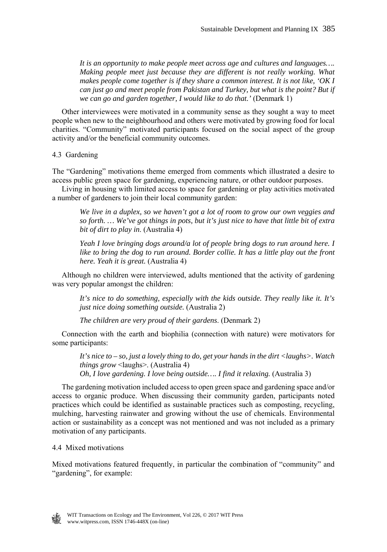*It is an opportunity to make people meet across age and cultures and languages…. Making people meet just because they are different is not really working. What makes people come together is if they share a common interest. It is not like, 'OK I can just go and meet people from Pakistan and Turkey, but what is the point? But if we can go and garden together, I would like to do that.'* (Denmark 1)

 Other interviewees were motivated in a community sense as they sought a way to meet people when new to the neighbourhood and others were motivated by growing food for local charities. "Community" motivated participants focused on the social aspect of the group activity and/or the beneficial community outcomes.

4.3 Gardening

The "Gardening" motivations theme emerged from comments which illustrated a desire to access public green space for gardening, experiencing nature, or other outdoor purposes.

 Living in housing with limited access to space for gardening or play activities motivated a number of gardeners to join their local community garden:

*We live in a duplex, so we haven't got a lot of room to grow our own veggies and so forth. … We've got things in pots, but it's just nice to have that little bit of extra bit of dirt to play in*. (Australia 4)

*Yeah I love bringing dogs around/a lot of people bring dogs to run around here. I*  like to bring the dog to run around. Border collie. It has a little play out the front *here. Yeah it is great.* (Australia 4)

 Although no children were interviewed, adults mentioned that the activity of gardening was very popular amongst the children:

*It's nice to do something, especially with the kids outside. They really like it. It's just nice doing something outside.* (Australia 2)

*The children are very proud of their gardens*. (Denmark 2)

 Connection with the earth and biophilia (connection with nature) were motivators for some participants:

*It's nice to – so, just a lovely thing to do, get your hands in the dirt <laughs>. Watch things grow* <laughs>. (Australia 4) *Oh, I love gardening. I love being outside.... I find it relaxing.* (Australia 3)

 The gardening motivation included access to open green space and gardening space and/or access to organic produce. When discussing their community garden, participants noted practices which could be identified as sustainable practices such as composting, recycling, mulching, harvesting rainwater and growing without the use of chemicals. Environmental action or sustainability as a concept was not mentioned and was not included as a primary motivation of any participants.

# 4.4 Mixed motivations

Mixed motivations featured frequently, in particular the combination of "community" and "gardening", for example:

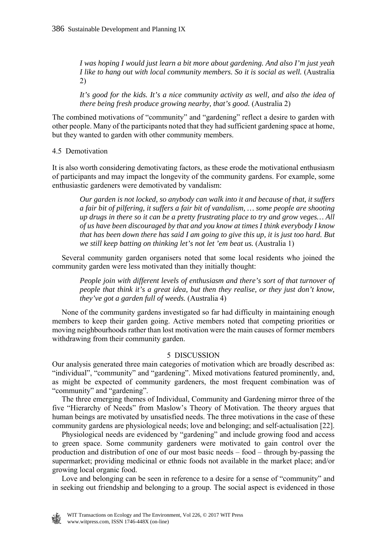*I was hoping I would just learn a bit more about gardening. And also I'm just yeah I like to hang out with local community members. So it is social as well.* (Australia 2)

*It's good for the kids. It's a nice community activity as well, and also the idea of there being fresh produce growing nearby, that's good.* (Australia 2)

The combined motivations of "community" and "gardening" reflect a desire to garden with other people. Many of the participants noted that they had sufficient gardening space at home, but they wanted to garden with other community members.

4.5 Demotivation

It is also worth considering demotivating factors, as these erode the motivational enthusiasm of participants and may impact the longevity of the community gardens. For example, some enthusiastic gardeners were demotivated by vandalism:

*Our garden is not locked, so anybody can walk into it and because of that, it suffers a fair bit of pilfering, it suffers a fair bit of vandalism, … some people are shooting up drugs in there so it can be a pretty frustrating place to try and grow veges… All of us have been discouraged by that and you know at times I think everybody I know that has been down there has said I am going to give this up, it is just too hard. But we still keep batting on thinking let's not let 'em beat us.* (Australia 1)

 Several community garden organisers noted that some local residents who joined the community garden were less motivated than they initially thought:

*People join with different levels of enthusiasm and there's sort of that turnover of people that think it's a great idea, but then they realise, or they just don't know, they've got a garden full of weeds.* (Australia 4)

 None of the community gardens investigated so far had difficulty in maintaining enough members to keep their garden going. Active members noted that competing priorities or moving neighbourhoods rather than lost motivation were the main causes of former members withdrawing from their community garden.

### 5 DISCUSSION

Our analysis generated three main categories of motivation which are broadly described as: "individual", "community" and "gardening". Mixed motivations featured prominently, and, as might be expected of community gardeners, the most frequent combination was of "community" and "gardening".

 The three emerging themes of Individual, Community and Gardening mirror three of the five "Hierarchy of Needs" from Maslow's Theory of Motivation. The theory argues that human beings are motivated by unsatisfied needs. The three motivations in the case of these community gardens are physiological needs; love and belonging; and self-actualisation [22].

 Physiological needs are evidenced by "gardening" and include growing food and access to green space. Some community gardeners were motivated to gain control over the production and distribution of one of our most basic needs – food – through by-passing the supermarket; providing medicinal or ethnic foods not available in the market place; and/or growing local organic food.

 Love and belonging can be seen in reference to a desire for a sense of "community" and in seeking out friendship and belonging to a group. The social aspect is evidenced in those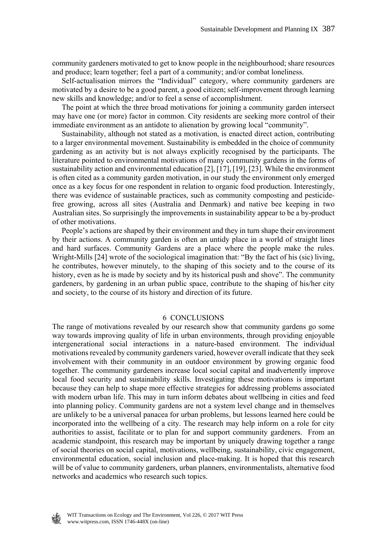community gardeners motivated to get to know people in the neighbourhood; share resources and produce; learn together; feel a part of a community; and/or combat loneliness.

 Self-actualisation mirrors the "Individual" category, where community gardeners are motivated by a desire to be a good parent, a good citizen; self-improvement through learning new skills and knowledge; and/or to feel a sense of accomplishment.

 The point at which the three broad motivations for joining a community garden intersect may have one (or more) factor in common. City residents are seeking more control of their immediate environment as an antidote to alienation by growing local "community".

 Sustainability, although not stated as a motivation, is enacted direct action, contributing to a larger environmental movement. Sustainability is embedded in the choice of community gardening as an activity but is not always explicitly recognised by the participants. The literature pointed to environmental motivations of many community gardens in the forms of sustainability action and environmental education [2], [17], [19], [23]. While the environment is often cited as a community garden motivation, in our study the environment only emerged once as a key focus for one respondent in relation to organic food production. Interestingly, there was evidence of sustainable practices, such as community composting and pesticidefree growing, across all sites (Australia and Denmark) and native bee keeping in two Australian sites. So surprisingly the improvements in sustainability appear to be a by-product of other motivations.

 People's actions are shaped by their environment and they in turn shape their environment by their actions. A community garden is often an untidy place in a world of straight lines and hard surfaces. Community Gardens are a place where the people make the rules. Wright-Mills [24] wrote of the sociological imagination that: "By the fact of his (sic) living, he contributes, however minutely, to the shaping of this society and to the course of its history, even as he is made by society and by its historical push and shove". The community gardeners, by gardening in an urban public space, contribute to the shaping of his/her city and society, to the course of its history and direction of its future.

#### 6 CONCLUSIONS

The range of motivations revealed by our research show that community gardens go some way towards improving quality of life in urban environments, through providing enjoyable intergenerational social interactions in a nature-based environment. The individual motivations revealed by community gardeners varied, however overall indicate that they seek involvement with their community in an outdoor environment by growing organic food together. The community gardeners increase local social capital and inadvertently improve local food security and sustainability skills. Investigating these motivations is important because they can help to shape more effective strategies for addressing problems associated with modern urban life. This may in turn inform debates about wellbeing in cities and feed into planning policy. Community gardens are not a system level change and in themselves are unlikely to be a universal panacea for urban problems, but lessons learned here could be incorporated into the wellbeing of a city. The research may help inform on a role for city authorities to assist, facilitate or to plan for and support community gardeners. From an academic standpoint, this research may be important by uniquely drawing together a range of social theories on social capital, motivations, wellbeing, sustainability, civic engagement, environmental education, social inclusion and place-making. It is hoped that this research will be of value to community gardeners, urban planners, environmentalists, alternative food networks and academics who research such topics.

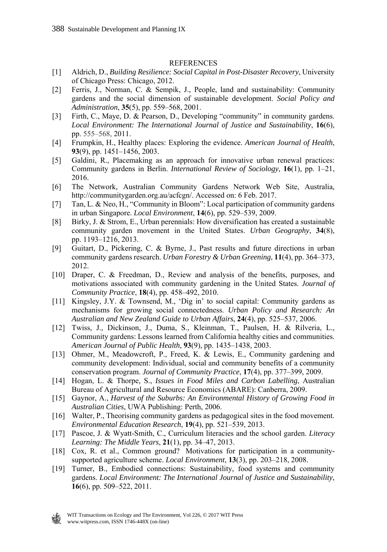### **REFERENCES**

- [1] Aldrich, D., *Building Resilience: Social Capital in Post-Disaster Recovery*, University of Chicago Press: Chicago, 2012.
- [2] Ferris, J., Norman, C. & Sempik, J., People, land and sustainability: Community gardens and the social dimension of sustainable development. *Social Policy and Administration*, **35**(5), pp. 559–568, 2001.
- [3] Firth, C., Maye, D. & Pearson, D., Developing "community" in community gardens. *Local Environment: The International Journal of Justice and Sustainability*, **16**(6), pp. 555–568, 2011.
- [4] Frumpkin, H., Healthy places: Exploring the evidence. *American Journal of Health*, **93**(9), pp. 1451–1456, 2003.
- [5] Galdini, R., Placemaking as an approach for innovative urban renewal practices: Community gardens in Berlin. *International Review of Sociology*, **16**(1), pp. 1–21, 2016.
- [6] The Network, Australian Community Gardens Network Web Site, Australia, http://communitygarden.org.au/acfcgn/. Accessed on: 6 Feb. 2017.
- [7] Tan, L. & Neo, H., "Community in Bloom": Local participation of community gardens in urban Singapore. *Local Environment*, **14**(6), pp. 529–539, 2009.
- [8] Birky, J. & Strom, E., Urban perennials: How diversification has created a sustainable community garden movement in the United States. *Urban Geography*, **34**(8), pp. 1193–1216, 2013.
- [9] Guitart, D., Pickering, C. & Byrne, J., Past results and future directions in urban community gardens research. *Urban Forestry & Urban Greening*, **11**(4), pp. 364–373, 2012.
- [10] Draper, C. & Freedman, D., Review and analysis of the benefits, purposes, and motivations associated with community gardening in the United States. *Journal of Community Practice*, **18**(4), pp. 458–492, 2010.
- [11] Kingsley, J.Y. & Townsend, M., 'Dig in' to social capital: Community gardens as mechanisms for growing social connectedness. *Urban Policy and Research: An Australian and New Zealand Guide to Urban Affairs*, **24**(4), pp. 525–537, 2006.
- [12] Twiss, J., Dickinson, J., Duma, S., Kleinman, T., Paulsen, H. & Rilveria, L., Community gardens: Lessons learned from California healthy cities and communities. *American Journal of Public Health*, **93**(9), pp. 1435–1438, 2003.
- [13] Ohmer, M., Meadowcroft, P., Freed, K. & Lewis, E., Community gardening and community development: Individual, social and community benefits of a community conservation program. *Journal of Community Practice*, **17**(4), pp. 377–399, 2009.
- [14] Hogan, L. & Thorpe, S., *Issues in Food Miles and Carbon Labelling*, Australian Bureau of Agricultural and Resource Economics (ABARE): Canberra, 2009.
- [15] Gaynor, A., *Harvest of the Suburbs: An Environmental History of Growing Food in Australian Cities*, UWA Publishing: Perth, 2006.
- [16] Walter, P., Theorising community gardens as pedagogical sites in the food movement. *Environmental Education Research*, **19**(4), pp. 521–539, 2013.
- [17] Pascoe, J. & Wyatt-Smith, C., Curriculum literacies and the school garden. *Literacy Learning: The Middle Years*, **21**(1), pp. 34–47, 2013.
- [18] Cox, R. et al., Common ground? Motivations for participation in a communitysupported agriculture scheme. *Local Environment*, **13**(3), pp. 203–218, 2008.
- [19] Turner, B., Embodied connections: Sustainability, food systems and community gardens. *Local Environment: The International Journal of Justice and Sustainability*, **16**(6), pp. 509–522, 2011.